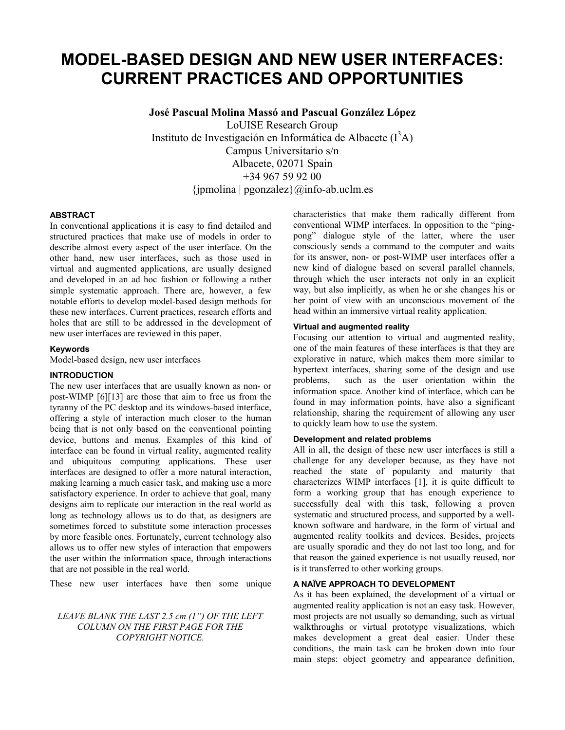# **MODEL-BASED DESIGN AND NEW USER INTERFACES: CURRENT PRACTICES AND OPPORTUNITIES**

**José Pascual Molina Massó and Pascual González López**

LoUISE Research Group Instituto de Investigación en Informática de Albacete  $(I^3A)$ Campus Universitario s/n Albacete, 02071 Spain +34 967 59 92 00  $\{jmmolina \mid popizablez\}$  ( $\omega$ info-ab.uclm.es

#### **ABSTRACT**

In conventional applications it is easy to find detailed and structured practices that make use of models in order to describe almost every aspect of the user interface. On the other hand, new user interfaces, such as those used in virtual and augmented applications, are usually designed and developed in an ad hoc fashion or following a rather simple systematic approach. There are, however, a few notable efforts to develop model-based design methods for these new interfaces. Current practices, research efforts and holes that are still to be addressed in the development of new user interfaces are reviewed in this paper.

#### **Keywords**

Model-based design, new user interfaces

#### **INTRODUCTION**

The new user interfaces that are usually known as non- or post-WIMP [6][13] are those that aim to free us from the tyranny of the PC desktop and its windows-based interface, offering a style of interaction much closer to the human being that is not only based on the conventional pointing device, buttons and menus. Examples of this kind of interface can be found in virtual reality, augmented reality and ubiquitous computing applications. These user interfaces are designed to offer a more natural interaction, making learning a much easier task, and making use a more satisfactory experience. In order to achieve that goal, many designs aim to replicate our interaction in the real world as long as technology allows us to do that, as designers are sometimes forced to substitute some interaction processes by more feasible ones. Fortunately, current technology also allows us to offer new styles of interaction that empowers the user within the information space, through interactions that are not possible in the real world.

These new user interfaces have then some unique

### *LEAVE BLANK THE LAST 2.5 cm (1") OF THE LEFT COLUMN ON THE FIRST PAGE FOR THE COPYRIGHT NOTICE.*

characteristics that make them radically different from conventional WIMP interfaces. In opposition to the "pingpong" dialogue style of the latter, where the user consciously sends a command to the computer and waits for its answer, non- or post-WIMP user interfaces offer a new kind of dialogue based on several parallel channels, through which the user interacts not only in an explicit way, but also implicitly, as when he or she changes his or her point of view with an unconscious movement of the head within an immersive virtual reality application.

#### **Virtual and augmented reality**

Focusing our attention to virtual and augmented reality, one of the main features of these interfaces is that they are explorative in nature, which makes them more similar to hypertext interfaces, sharing some of the design and use problems, such as the user orientation within the information space. Another kind of interface, which can be found in may information points, have also a significant relationship, sharing the requirement of allowing any user to quickly learn how to use the system.

#### **Development and related problems**

All in all, the design of these new user interfaces is still a challenge for any developer because, as they have not reached the state of popularity and maturity that characterizes WIMP interfaces [1], it is quite difficult to form a working group that has enough experience to successfully deal with this task, following a proven systematic and structured process, and supported by a wellknown software and hardware, in the form of virtual and augmented reality toolkits and devices. Besides, projects are usually sporadic and they do not last too long, and for that reason the gained experience is not usually reused, nor is it transferred to other working groups.

## **A NAÏVE APPROACH TO DEVELOPMENT**

As it has been explained, the development of a virtual or augmented reality application is not an easy task. However, most projects are not usually so demanding, such as virtual walkthroughs or virtual prototype visualizations, which makes development a great deal easier. Under these conditions, the main task can be broken down into four main steps: object geometry and appearance definition,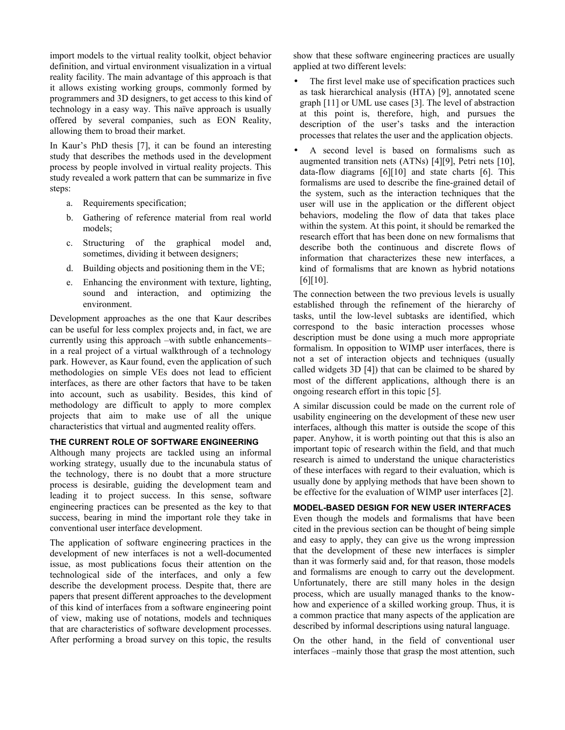import models to the virtual reality toolkit, object behavior definition, and virtual environment visualization in a virtual reality facility. The main advantage of this approach is that it allows existing working groups, commonly formed by programmers and 3D designers, to get access to this kind of technology in a easy way. This naïve approach is usually offered by several companies, such as EON Reality, allowing them to broad their market.

In Kaur's PhD thesis [7], it can be found an interesting study that describes the methods used in the development process by people involved in virtual reality projects. This study revealed a work pattern that can be summarize in five steps:

- a. Requirements specification;
- b. Gathering of reference material from real world models;
- c. Structuring of the graphical model and, sometimes, dividing it between designers;
- d. Building objects and positioning them in the VE;
- e. Enhancing the environment with texture, lighting, sound and interaction, and optimizing the environment.

Development approaches as the one that Kaur describes can be useful for less complex projects and, in fact, we are currently using this approach –with subtle enhancements– in a real project of a virtual walkthrough of a technology park. However, as Kaur found, even the application of such methodologies on simple VEs does not lead to efficient interfaces, as there are other factors that have to be taken into account, such as usability. Besides, this kind of methodology are difficult to apply to more complex projects that aim to make use of all the unique characteristics that virtual and augmented reality offers.

### **THE CURRENT ROLE OF SOFTWARE ENGINEERING**

Although many projects are tackled using an informal working strategy, usually due to the incunabula status of the technology, there is no doubt that a more structure process is desirable, guiding the development team and leading it to project success. In this sense, software engineering practices can be presented as the key to that success, bearing in mind the important role they take in conventional user interface development.

The application of software engineering practices in the development of new interfaces is not a well-documented issue, as most publications focus their attention on the technological side of the interfaces, and only a few describe the development process. Despite that, there are papers that present different approaches to the development of this kind of interfaces from a software engineering point of view, making use of notations, models and techniques that are characteristics of software development processes. After performing a broad survey on this topic, the results

show that these software engineering practices are usually applied at two different levels:

- The first level make use of specification practices such as task hierarchical analysis (HTA) [9], annotated scene graph [11] or UML use cases [3]. The level of abstraction at this point is, therefore, high, and pursues the description of the user's tasks and the interaction processes that relates the user and the application objects.
- A second level is based on formalisms such as augmented transition nets (ATNs) [4][9], Petri nets [10], data-flow diagrams [6][10] and state charts [6]. This formalisms are used to describe the fine-grained detail of the system, such as the interaction techniques that the user will use in the application or the different object behaviors, modeling the flow of data that takes place within the system. At this point, it should be remarked the research effort that has been done on new formalisms that describe both the continuous and discrete flows of information that characterizes these new interfaces, a kind of formalisms that are known as hybrid notations [6][10].

The connection between the two previous levels is usually established through the refinement of the hierarchy of tasks, until the low-level subtasks are identified, which correspond to the basic interaction processes whose description must be done using a much more appropriate formalism. In opposition to WIMP user interfaces, there is not a set of interaction objects and techniques (usually called widgets 3D [4]) that can be claimed to be shared by most of the different applications, although there is an ongoing research effort in this topic [5].

A similar discussion could be made on the current role of usability engineering on the development of these new user interfaces, although this matter is outside the scope of this paper. Anyhow, it is worth pointing out that this is also an important topic of research within the field, and that much research is aimed to understand the unique characteristics of these interfaces with regard to their evaluation, which is usually done by applying methods that have been shown to be effective for the evaluation of WIMP user interfaces [2].

## **MODEL-BASED DESIGN FOR NEW USER INTERFACES**

Even though the models and formalisms that have been cited in the previous section can be thought of being simple and easy to apply, they can give us the wrong impression that the development of these new interfaces is simpler than it was formerly said and, for that reason, those models and formalisms are enough to carry out the development. Unfortunately, there are still many holes in the design process, which are usually managed thanks to the knowhow and experience of a skilled working group. Thus, it is a common practice that many aspects of the application are described by informal descriptions using natural language.

On the other hand, in the field of conventional user interfaces –mainly those that grasp the most attention, such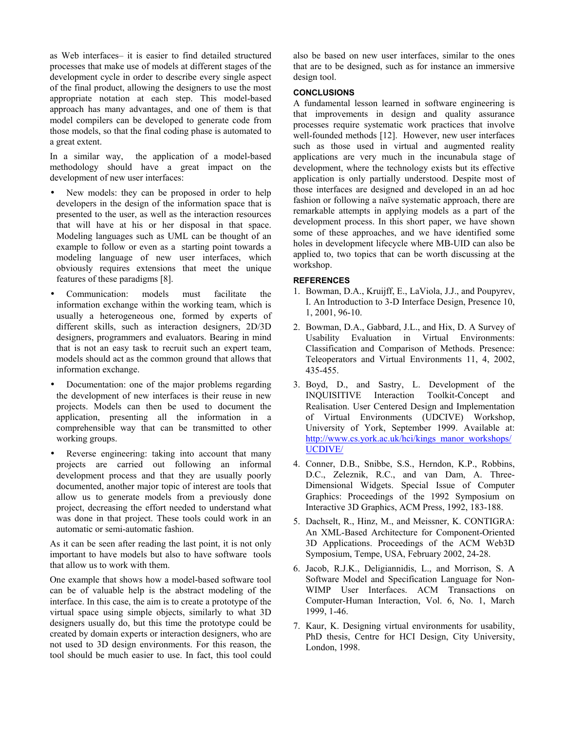as Web interfaces– it is easier to find detailed structured processes that make use of models at different stages of the development cycle in order to describe every single aspect of the final product, allowing the designers to use the most appropriate notation at each step. This model-based approach has many advantages, and one of them is that model compilers can be developed to generate code from those models, so that the final coding phase is automated to a great extent.

In a similar way, the application of a model-based methodology should have a great impact on the development of new user interfaces:

- New models: they can be proposed in order to help developers in the design of the information space that is presented to the user, as well as the interaction resources that will have at his or her disposal in that space. Modeling languages such as UML can be thought of an example to follow or even as a starting point towards a modeling language of new user interfaces, which obviously requires extensions that meet the unique features of these paradigms [8].
- Communication: models must facilitate the information exchange within the working team, which is usually a heterogeneous one, formed by experts of different skills, such as interaction designers, 2D/3D designers, programmers and evaluators. Bearing in mind that is not an easy task to recruit such an expert team, models should act as the common ground that allows that information exchange.
- Documentation: one of the major problems regarding the development of new interfaces is their reuse in new projects. Models can then be used to document the application, presenting all the information in a comprehensible way that can be transmitted to other working groups.
- Reverse engineering: taking into account that many projects are carried out following an informal development process and that they are usually poorly documented, another major topic of interest are tools that allow us to generate models from a previously done project, decreasing the effort needed to understand what was done in that project. These tools could work in an automatic or semi-automatic fashion.

As it can be seen after reading the last point, it is not only important to have models but also to have software tools that allow us to work with them.

One example that shows how a model-based software tool can be of valuable help is the abstract modeling of the interface. In this case, the aim is to create a prototype of the virtual space using simple objects, similarly to what 3D designers usually do, but this time the prototype could be created by domain experts or interaction designers, who are not used to 3D design environments. For this reason, the tool should be much easier to use. In fact, this tool could

also be based on new user interfaces, similar to the ones that are to be designed, such as for instance an immersive design tool.

# **CONCLUSIONS**

A fundamental lesson learned in software engineering is that improvements in design and quality assurance processes require systematic work practices that involve well-founded methods [12]. However, new user interfaces such as those used in virtual and augmented reality applications are very much in the incunabula stage of development, where the technology exists but its effective application is only partially understood. Despite most of those interfaces are designed and developed in an ad hoc fashion or following a naïve systematic approach, there are remarkable attempts in applying models as a part of the development process. In this short paper, we have shown some of these approaches, and we have identified some holes in development lifecycle where MB-UID can also be applied to, two topics that can be worth discussing at the workshop.

## **REFERENCES**

- 1. Bowman, D.A., Kruijff, E., LaViola, J.J., and Poupyrev, I. An Introduction to 3-D Interface Design, Presence 10, 1, 2001, 96-10.
- 2. Bowman, D.A., Gabbard, J.L., and Hix, D. A Survey of Usability Evaluation in Virtual Environments: Classification and Comparison of Methods. Presence: Teleoperators and Virtual Environments 11, 4, 2002, 435-455.
- 3. Boyd, D., and Sastry, L. Development of the INQUISITIVE Interaction Toolkit-Concept and Realisation. User Centered Design and Implementation of Virtual Environments (UDCIVE) Workshop, University of York, September 1999. Available at: http://www.cs.york.ac.uk/hci/kings\_manor\_workshops/ UCDIVE/
- 4. Conner, D.B., Snibbe, S.S., Herndon, K.P., Robbins, D.C., Zeleznik, R.C., and van Dam, A. Three-Dimensional Widgets. Special Issue of Computer Graphics: Proceedings of the 1992 Symposium on Interactive 3D Graphics, ACM Press, 1992, 183-188.
- 5. Dachselt, R., Hinz, M., and Meissner, K. CONTIGRA: An XML-Based Architecture for Component-Oriented 3D Applications. Proceedings of the ACM Web3D Symposium, Tempe, USA, February 2002, 24-28.
- 6. Jacob, R.J.K., Deligiannidis, L., and Morrison, S. A Software Model and Specification Language for Non-WIMP User Interfaces. ACM Transactions on Computer-Human Interaction, Vol. 6, No. 1, March 1999, 1-46.
- 7. Kaur, K. Designing virtual environments for usability, PhD thesis, Centre for HCI Design, City University, London, 1998.